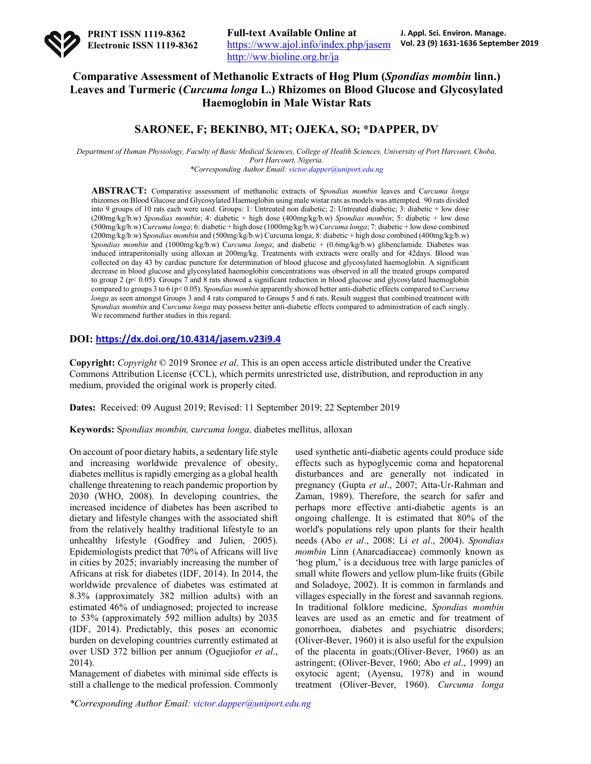

## **Comparative Assessment of Methanolic Extracts of Hog Plum (***Spondias mombin* **linn.) Leaves and Turmeric (***Curcuma longa* **L.) Rhizomes on Blood Glucose and Glycosylated Haemoglobin in Male Wistar Rats**

# **SARONEE, F; BEKINBO, MT; OJEKA, SO; \*DAPPER, DV**

*Department of Human Physiology, Faculty of Basic Medical Sciences, College of Health Sciences, University of Port Harcourt, Choba, Port Harcourt, Nigeria. \*Corresponding Author Email: victor.dapper@uniport.edu.ng*

**ABSTRACT:** Comparative assessment of methanolic extracts of S*pondias mombin* leaves and C*urcuma longa*  rhizomes on Blood Glucose and Glycosylated Haemoglobin using male wistar rats as models was attempted. 90 rats divided into 9 groups of 10 rats each were used. Groups: 1: Untreated non diabetic; 2: Untreated diabetic; 3: diabetic + low dose (200mg/kg/b.w) *Spondias mombin*; 4: diabetic + high dose (400mg/kg/b.w) *Spondias mombin*; 5: diabetic + low dose (500mg/kg/b.w) C*urcuma longa*; 6: diabetic + high dose (1000mg/kg/b.w) C*urcuma longa*; 7: diabetic + low dose combined (200mg/kg/b.w) S*pondias mombin* and (500mg/kg/b.w) Curcuma longa; 8: diabetic + high dose combined (400mg/kg/b.w) S*pondias mombin* and (1000mg/kg/b.w) C*urcuma longa*; and diabetic + (0.6mg/kg/b.w) glibenclamide. Diabetes was induced intraperitonially using alloxan at 200mg/kg. Treatments with extracts were orally and for 42days. Blood was collected on day 43 by cardiac puncture for determination of blood glucose and glycosylated haemoglobin. A significant decrease in blood glucose and glycosylated haemoglobin concentrations was observed in all the treated groups compared to group 2 ( $p$ < 0.05). Groups 7 and 8 rats showed a significant reduction in blood glucose and glycosylated haemoglobin compared to groups 3 to 6 (p< 0.05). S*pondias mombin* apparently showed better anti-diabetic effects compared to C*urcuma longa* as seen amongst Groups 3 and 4 rats compared to Groups 5 and 6 rats. Result suggest that combined treatment with S*pondias mombin* and C*urcuma longa* may possess better anti-diabetic effects compared to administration of each singly. We recommend further studies in this regard.

### **DOI: https://dx.doi.org/10.4314/jasem.v23i9.4**

**Copyright:** *Copyright* © 2019 Sronee *et al*. This is an open access article distributed under the Creative Commons Attribution License (CCL), which permits unrestricted use, distribution, and reproduction in any medium, provided the original work is properly cited.

**Dates:** Received: 09 August 2019; Revised: 11 September 2019; 22 September 2019

**Keywords:** S*pondias mombin,* c*urcuma longa,* diabetes mellitus, alloxan

On account of poor dietary habits, a sedentary life style and increasing worldwide prevalence of obesity, diabetes mellitus is rapidly emerging as a global health challenge threatening to reach pandemic proportion by 2030 (WHO, 2008). In developing countries, the increased incidence of diabetes has been ascribed to dietary and lifestyle changes with the associated shift from the relatively healthy traditional lifestyle to an unhealthy lifestyle (Godfrey and Julien, 2005). Epidemiologists predict that 70% of Africans will live in cities by 2025; invariably increasing the number of Africans at risk for diabetes (IDF, 2014). In 2014, the worldwide prevalence of diabetes was estimated at 8.3% (approximately 382 million adults) with an estimated 46% of undiagnosed; projected to increase to 53% (approximately 592 million adults) by 2035 (IDF, 2014). Predictably, this poses an economic burden on developing countries currently estimated at over USD 372 billion per annum (Oguejiofor *et al*., 2014).

Management of diabetes with minimal side effects is still a challenge to the medical profession. Commonly

used synthetic anti-diabetic agents could produce side effects such as hypoglycemic coma and hepatorenal disturbances and are generally not indicated in pregnancy (Gupta *et al*., 2007; Atta-Ur-Rahman and Zaman, 1989). Therefore, the search for safer and perhaps more effective anti-diabetic agents is an ongoing challenge. It is estimated that 80% of the world's populations rely upon plants for their health needs (Abo *et al*., 2008; Li *et al*., 2004). *Spondias mombin* Linn (Anarcadiaceae) commonly known as 'hog plum,' is a deciduous tree with large panicles of small white flowers and yellow plum-like fruits (Gbile and Soladoye, 2002). It is common in farmlands and villages especially in the forest and savannah regions. In traditional folklore medicine, *Spondias mombin* leaves are used as an emetic and for treatment of gonorrhoea, diabetes and psychiatric disorders; (Oliver-Bever, 1960) it is also useful for the expulsion of the placenta in goats;(Oliver-Bever, 1960) as an astringent; (Oliver-Bever, 1960; Abo *et al*., 1999) an oxytocic agent; (Ayensu, 1978) and in wound treatment (Oliver-Bever, 1960). *Curcuma longa*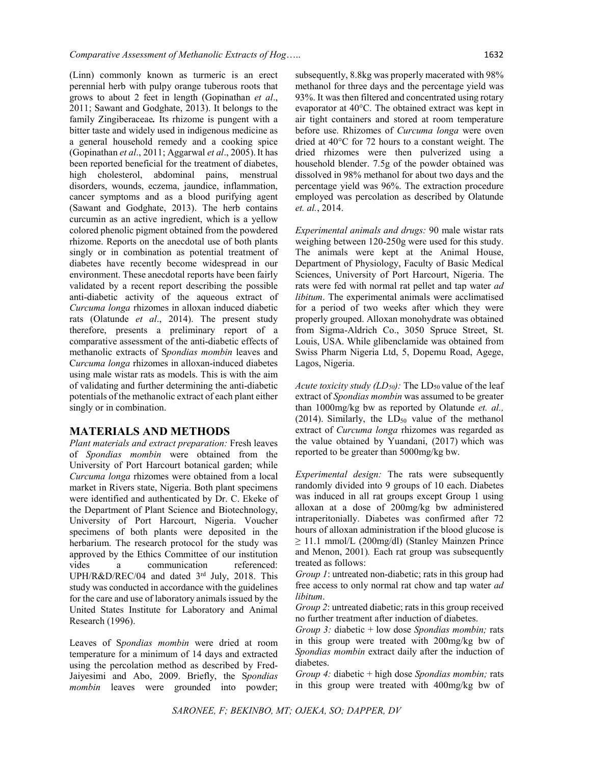(Linn) commonly known as turmeric is an erect perennial herb with pulpy orange tuberous roots that grows to about 2 feet in length (Gopinathan *et al*., 2011; Sawant and Godghate, 2013). It belongs to the family Zingiberaceae*.* Its rhizome is pungent with a bitter taste and widely used in indigenous medicine as a general household remedy and a cooking spice (Gopinathan *et al*., 2011; Aggarwal *et al*., 2005).It has been reported beneficial for the treatment of diabetes, high cholesterol, abdominal pains, menstrual disorders, wounds, eczema, jaundice, inflammation, cancer symptoms and as a blood purifying agent (Sawant and Godghate, 2013). The herb contains curcumin as an active ingredient, which is a yellow colored phenolic pigment obtained from the powdered rhizome. Reports on the anecdotal use of both plants singly or in combination as potential treatment of diabetes have recently become widespread in our environment. These anecdotal reports have been fairly validated by a recent report describing the possible anti-diabetic activity of the aqueous extract of *Curcuma longa* rhizomes in alloxan induced diabetic rats (Olatunde *et al*., 2014). The present study therefore, presents a preliminary report of a comparative assessment of the anti-diabetic effects of methanolic extracts of S*pondias mombin* leaves and C*urcuma longa* rhizomes in alloxan-induced diabetes using male wistar rats as models. This is with the aim of validating and further determining the anti-diabetic potentials of the methanolic extract of each plant either singly or in combination.

### **MATERIALS AND METHODS**

*Plant materials and extract preparation:* Fresh leaves of *Spondias mombin* were obtained from the University of Port Harcourt botanical garden; while *Curcuma longa* rhizomes were obtained from a local market in Rivers state, Nigeria. Both plant specimens were identified and authenticated by Dr. C. Ekeke of the Department of Plant Science and Biotechnology, University of Port Harcourt, Nigeria. Voucher specimens of both plants were deposited in the herbarium. The research protocol for the study was approved by the Ethics Committee of our institution vides a communication referenced: UPH/R&D/REC/04 and dated 3rd July, 2018. This study was conducted in accordance with the guidelines for the care and use of laboratory animals issued by the United States Institute for Laboratory and Animal Research (1996).

Leaves of S*pondias mombin* were dried at room temperature for a minimum of 14 days and extracted using the percolation method as described by Fred-Jaiyesimi and Abo, 2009. Briefly, the S*pondias mombin* leaves were grounded into powder;

subsequently, 8.8kg was properly macerated with 98% methanol for three days and the percentage yield was 93%. It was then filtered and concentrated using rotary evaporator at 40°C. The obtained extract was kept in air tight containers and stored at room temperature before use. Rhizomes of *Curcuma longa* were oven dried at 40°C for 72 hours to a constant weight. The dried rhizomes were then pulverized using a household blender. 7.5g of the powder obtained was dissolved in 98% methanol for about two days and the percentage yield was 96%. The extraction procedure employed was percolation as described by Olatunde *et. al.*, 2014.

*Experimental animals and drugs:* 90 male wistar rats weighing between 120-250g were used for this study. The animals were kept at the Animal House, Department of Physiology, Faculty of Basic Medical Sciences, University of Port Harcourt, Nigeria. The rats were fed with normal rat pellet and tap water *ad libitum*. The experimental animals were acclimatised for a period of two weeks after which they were properly grouped. Alloxan monohydrate was obtained from Sigma-Aldrich Co., 3050 Spruce Street, St. Louis, USA. While glibenclamide was obtained from Swiss Pharm Nigeria Ltd, 5, Dopemu Road, Agege, Lagos, Nigeria.

*Acute toxicity study (LD<sub>50</sub>):* The LD<sub>50</sub> value of the leaf extract of *Spondias mombin* was assumed to be greater than 1000mg/kg bw as reported by Olatunde *et. al.,* (2014). Similarly, the  $LD_{50}$  value of the methanol extract of *Curcuma longa* rhizomes was regarded as the value obtained by Yuandani, (2017) which was reported to be greater than 5000mg/kg bw.

*Experimental design:* The rats were subsequently randomly divided into 9 groups of 10 each. Diabetes was induced in all rat groups except Group 1 using alloxan at a dose of 200mg/kg bw administered intraperitonially. Diabetes was confirmed after 72 hours of alloxan administration if the blood glucose is ≥ 11.1 mmol/L (200mg/dl) (Stanley Mainzen Prince and Menon, 2001)*.* Each rat group was subsequently treated as follows:

*Group 1*: untreated non-diabetic; rats in this group had free access to only normal rat chow and tap water *ad libitum*.

*Group 2*: untreated diabetic; rats in this group received no further treatment after induction of diabetes.

*Group 3:* diabetic + low dose *Spondias mombin;* rats in this group were treated with 200mg/kg bw of *Spondias mombin* extract daily after the induction of diabetes.

*Group 4:* diabetic + high dose *Spondias mombin;* rats in this group were treated with 400mg/kg bw of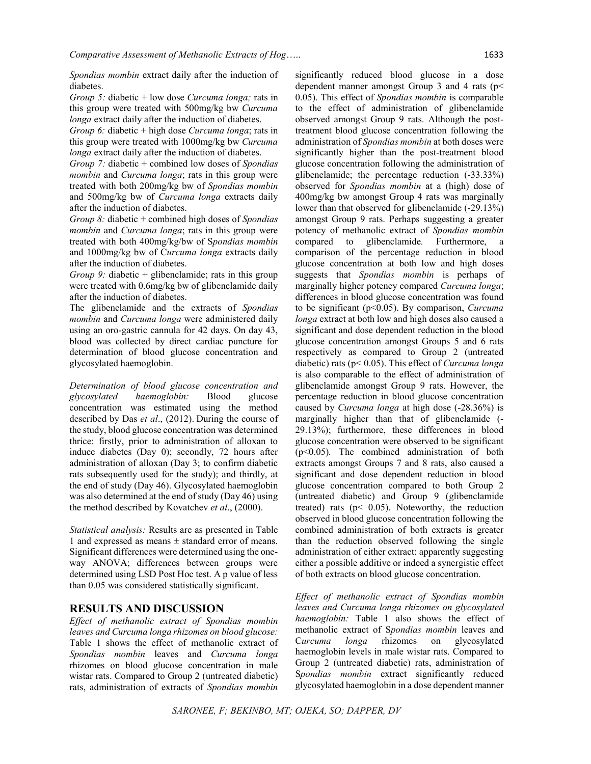*Spondias mombin* extract daily after the induction of diabetes.

*Group 5:* diabetic + low dose *Curcuma longa;* rats in this group were treated with 500mg/kg bw *Curcuma longa* extract daily after the induction of diabetes.

*Group 6:* diabetic + high dose *Curcuma longa*; rats in this group were treated with 1000mg/kg bw *Curcuma longa* extract daily after the induction of diabetes.

*Group 7:* diabetic + combined low doses of *Spondias mombin* and *Curcuma longa*; rats in this group were treated with both 200mg/kg bw of *Spondias mombin* and 500mg/kg bw of *Curcuma longa* extracts daily after the induction of diabetes.

*Group 8:* diabetic + combined high doses of *Spondias mombin* and *Curcuma longa*; rats in this group were treated with both 400mg/kg/bw of S*pondias mombin*  and 1000mg/kg bw of C*urcuma longa* extracts daily after the induction of diabetes.

*Group* 9: diabetic + glibenclamide; rats in this group were treated with 0.6mg/kg bw of glibenclamide daily after the induction of diabetes.

The glibenclamide and the extracts of *Spondias mombin* and *Curcuma longa* were administered daily using an oro-gastric cannula for 42 days. On day 43, blood was collected by direct cardiac puncture for determination of blood glucose concentration and glycosylated haemoglobin.

*Determination of blood glucose concentration and glycosylated haemoglobin:* Blood glucose concentration was estimated using the method described by Das *et al*., (2012). During the course of the study, blood glucose concentration was determined thrice: firstly, prior to administration of alloxan to induce diabetes (Day 0); secondly, 72 hours after administration of alloxan (Day 3; to confirm diabetic rats subsequently used for the study); and thirdly, at the end of study (Day 46). Glycosylated haemoglobin was also determined at the end of study (Day 46) using the method described by Kovatchev *et al*., (2000).

*Statistical analysis:* Results are as presented in Table 1 and expressed as means ± standard error of means. Significant differences were determined using the oneway ANOVA; differences between groups were determined using LSD Post Hoc test. A p value of less than 0.05 was considered statistically significant.

### **RESULTS AND DISCUSSION**

*Effect of methanolic extract of Spondias mombin leaves and Curcuma longa rhizomes on blood glucose:* Table 1 shows the effect of methanolic extract of *Spondias mombin* leaves and *Curcuma longa*  rhizomes on blood glucose concentration in male wistar rats. Compared to Group 2 (untreated diabetic) rats, administration of extracts of *Spondias mombin* 

significantly reduced blood glucose in a dose dependent manner amongst Group 3 and 4 rats (p< 0.05). This effect of *Spondias mombin* is comparable to the effect of administration of glibenclamide observed amongst Group 9 rats. Although the posttreatment blood glucose concentration following the administration of *Spondias mombin* at both doses were significantly higher than the post-treatment blood glucose concentration following the administration of glibenclamide; the percentage reduction (-33.33%) observed for *Spondias mombin* at a (high) dose of 400mg/kg bw amongst Group 4 rats was marginally lower than that observed for glibenclamide (-29.13%) amongst Group 9 rats. Perhaps suggesting a greater potency of methanolic extract of *Spondias mombin*  compared to glibenclamide*.* Furthermore, a comparison of the percentage reduction in blood glucose concentration at both low and high doses suggests that *Spondias mombin* is perhaps of marginally higher potency compared *Curcuma longa*; differences in blood glucose concentration was found to be significant (p<0.05). By comparison, *Curcuma longa* extract at both low and high doses also caused a significant and dose dependent reduction in the blood glucose concentration amongst Groups 5 and 6 rats respectively as compared to Group 2 (untreated diabetic) rats (p< 0.05). This effect of *Curcuma longa* is also comparable to the effect of administration of glibenclamide amongst Group 9 rats. However, the percentage reduction in blood glucose concentration caused by *Curcuma longa* at high dose (-28.36%) is marginally higher than that of glibenclamide (- 29.13%); furthermore, these differences in blood glucose concentration were observed to be significant (p<0.05)*.* The combined administration of both extracts amongst Groups 7 and 8 rats, also caused a significant and dose dependent reduction in blood glucose concentration compared to both Group 2 (untreated diabetic) and Group 9 (glibenclamide treated) rats ( $p$ < 0.05). Noteworthy, the reduction observed in blood glucose concentration following the combined administration of both extracts is greater than the reduction observed following the single administration of either extract: apparently suggesting either a possible additive or indeed a synergistic effect of both extracts on blood glucose concentration.

*Effect of methanolic extract of Spondias mombin leaves and Curcuma longa rhizomes on glycosylated haemoglobin:* Table 1 also shows the effect of methanolic extract of S*pondias mombin* leaves and C*urcuma longa* rhizomes on glycosylated haemoglobin levels in male wistar rats. Compared to Group 2 (untreated diabetic) rats, administration of S*pondias mombin* extract significantly reduced glycosylated haemoglobin in a dose dependent manner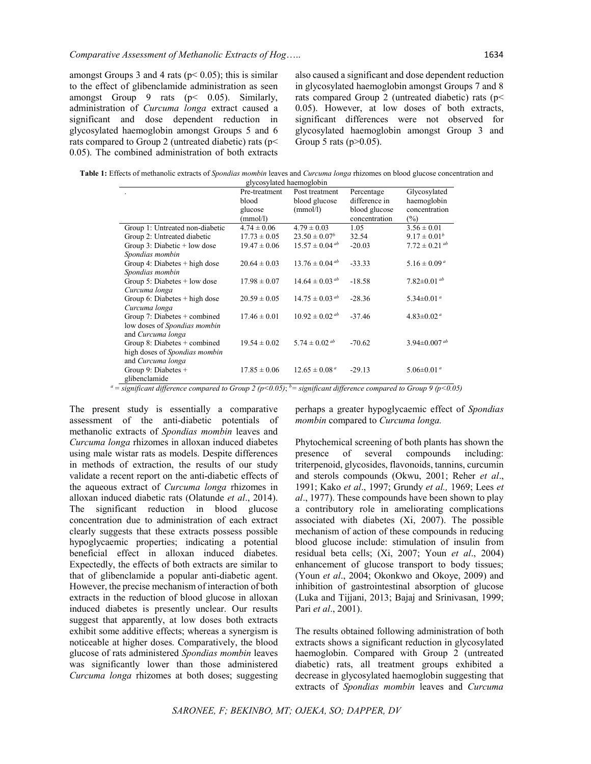amongst Groups 3 and 4 rats ( $p$ < 0.05); this is similar to the effect of glibenclamide administration as seen amongst Group 9 rats (p< 0.05). Similarly, administration of *Curcuma longa* extract caused a significant and dose dependent reduction in glycosylated haemoglobin amongst Groups 5 and 6 rats compared to Group 2 (untreated diabetic) rats (p< 0.05). The combined administration of both extracts

also caused a significant and dose dependent reduction in glycosylated haemoglobin amongst Groups 7 and 8 rats compared Group 2 (untreated diabetic) rats (p< 0.05). However, at low doses of both extracts, significant differences were not observed for glycosylated haemoglobin amongst Group 3 and Group 5 rats ( $p > 0.05$ ).

**Table 1:** Effects of methanolic extracts of *Spondias mombin* leaves and *Curcuma longa* rhizomes on blood glucose concentration and glycosylated haemoglobin

|                                      | Pre-treatment    | Post treatment           | Percentage    | Glycosylated                  |
|--------------------------------------|------------------|--------------------------|---------------|-------------------------------|
|                                      | blood            | blood glucose            | difference in | haemoglobin                   |
|                                      | glucose          | (mmol/l)                 | blood glucose | concentration                 |
|                                      | (mmol/l)         |                          | concentration | $(\%)$                        |
| Group 1: Untreated non-diabetic      | $4.74 \pm 0.06$  | $4.79 \pm 0.03$          | 1.05          | $3.56 \pm 0.01$               |
| Group 2: Untreated diabetic          | $17.73 \pm 0.05$ | $23.50 \pm 0.07^b$       | 32.54         | $9.17 \pm 0.01^b$             |
| Group 3: Diabetic $+$ low dose       | $19.47 \pm 0.06$ | $15.57 \pm 0.04^{ab}$    | $-20.03$      | $7.72 \pm 0.21^{ab}$          |
| Spondias mombin                      |                  |                          |               |                               |
| Group 4: Diabetes $+$ high dose      | $20.64 \pm 0.03$ | $13.76 \pm 0.04^{ab}$    | $-33.33$      | $5.16 \pm 0.09^{\circ}$       |
| Spondias mombin                      |                  |                          |               |                               |
| Group 5: Diabetes $+$ low dose       | $17.98 \pm 0.07$ | $14.64 \pm 0.03^{ab}$    | $-18.58$      | $7.82 \pm 0.01$ <sup>ab</sup> |
| Curcuma longa                        |                  |                          |               |                               |
| Group 6: Diabetes $+$ high dose      | $20.59 \pm 0.05$ | $14.75 \pm 0.03^{ab}$    | $-28.36$      | 5.34 $\pm$ 0.01 $a$           |
| Curcuma longa                        |                  |                          |               |                               |
| Group 7: Diabetes $+$ combined       | $17.46 \pm 0.01$ | $10.92 \pm 0.02^{ab}$    | $-37.46$      | 4.83 $\pm$ 0.02 <sup>a</sup>  |
| low doses of Spondias mombin         |                  |                          |               |                               |
| and Curcuma longa                    |                  |                          |               |                               |
| Group $8:$ Diabetes $+$ combined     | $19.54 \pm 0.02$ | 5.74 $\pm$ 0.02 $^{ab}$  | $-70.62$      | 3.94 $\pm$ 0.007 ab           |
| high doses of <i>Spondias mombin</i> |                  |                          |               |                               |
| and Curcuma longa                    |                  |                          |               |                               |
| Group 9: Diabetes $+$                | $17.85 \pm 0.06$ | $12.65 \pm 0.08^{\circ}$ | $-29.13$      | $5.06 \pm 0.01$ <sup>a</sup>  |
| glibenclamide                        |                  |                          |               |                               |

*a = significant difference compared to Group 2 (p<0.05)*; *<sup>b</sup> = significant difference compared to Group 9 (p<0.05)*

The present study is essentially a comparative assessment of the anti-diabetic potentials of methanolic extracts of *Spondias mombin* leaves and *Curcuma longa* rhizomes in alloxan induced diabetes using male wistar rats as models. Despite differences in methods of extraction, the results of our study validate a recent report on the anti-diabetic effects of the aqueous extract of *Curcuma longa* rhizomes in alloxan induced diabetic rats (Olatunde *et al*., 2014). The significant reduction in blood glucose concentration due to administration of each extract clearly suggests that these extracts possess possible hypoglycaemic properties; indicating a potential beneficial effect in alloxan induced diabetes. Expectedly, the effects of both extracts are similar to that of glibenclamide a popular anti-diabetic agent. However, the precise mechanism of interaction of both extracts in the reduction of blood glucose in alloxan induced diabetes is presently unclear. Our results suggest that apparently, at low doses both extracts exhibit some additive effects; whereas a synergism is noticeable at higher doses. Comparatively, the blood glucose of rats administered *Spondias mombin* leaves was significantly lower than those administered *Curcuma longa* rhizomes at both doses; suggesting perhaps a greater hypoglycaemic effect of *Spondias mombin* compared to *Curcuma longa.*

Phytochemical screening of both plants has shown the presence of several compounds including: triterpenoid, glycosides, flavonoids, tannins, curcumin and sterols compounds (Okwu, 2001; Reher *et al*., 1991; Kako *et al*., 1997; Grundy *et al.,* 1969; Lees *et al*., 1977). These compounds have been shown to play a contributory role in ameliorating complications associated with diabetes (Xi, 2007). The possible mechanism of action of these compounds in reducing blood glucose include: stimulation of insulin from residual beta cells; (Xi, 2007; Youn *et al*., 2004) enhancement of glucose transport to body tissues; (Youn *et al*., 2004; Okonkwo and Okoye, 2009) and inhibition of gastrointestinal absorption of glucose (Luka and Tijjani, 2013; Bajaj and Srinivasan, 1999; Pari *et al*., 2001).

The results obtained following administration of both extracts shows a significant reduction in glycosylated haemoglobin. Compared with Group 2 (untreated diabetic) rats, all treatment groups exhibited a decrease in glycosylated haemoglobin suggesting that extracts of *Spondias mombin* leaves and *Curcuma*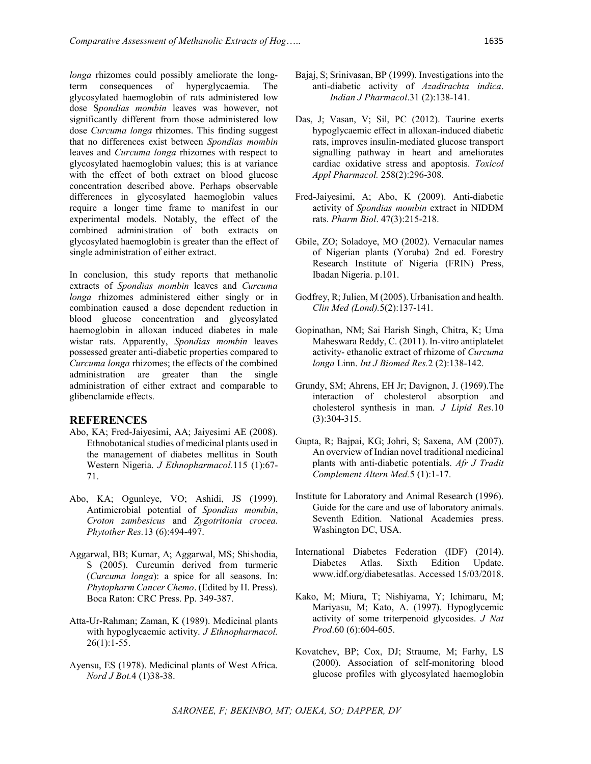*longa* rhizomes could possibly ameliorate the longterm consequences of hyperglycaemia. The glycosylated haemoglobin of rats administered low dose S*pondias mombin* leaves was however, not significantly different from those administered low dose *Curcuma longa* rhizomes. This finding suggest that no differences exist between *Spondias mombin*  leaves and *Curcuma longa* rhizomes with respect to glycosylated haemoglobin values; this is at variance with the effect of both extract on blood glucose concentration described above. Perhaps observable differences in glycosylated haemoglobin values require a longer time frame to manifest in our experimental models. Notably, the effect of the combined administration of both extracts on glycosylated haemoglobin is greater than the effect of single administration of either extract.

In conclusion, this study reports that methanolic extracts of *Spondias mombin* leaves and *Curcuma longa* rhizomes administered either singly or in combination caused a dose dependent reduction in blood glucose concentration and glycosylated haemoglobin in alloxan induced diabetes in male wistar rats. Apparently, *Spondias mombin* leaves possessed greater anti-diabetic properties compared to *Curcuma longa* rhizomes; the effects of the combined administration are greater than the single administration of either extract and comparable to glibenclamide effects.

#### **REFERENCES**

- Abo, KA; Fred-Jaiyesimi, AA; Jaiyesimi AE (2008). Ethnobotanical studies of medicinal plants used in the management of diabetes mellitus in South Western Nigeria. *J Ethnopharmacol.*115 (1):67- 71.
- Abo, KA; Ogunleye, VO; Ashidi, JS (1999). Antimicrobial potential of *Spondias mombin*, *Croton zambesicus* and *Zygotritonia crocea*. *Phytother Res.*13 (6):494-497.
- Aggarwal, BB; Kumar, A; Aggarwal, MS; Shishodia, S (2005). Curcumin derived from turmeric (*Curcuma longa*): a spice for all seasons. In: *Phytopharm Cancer Chemo*. (Edited by H. Press). Boca Raton: CRC Press. Pp. 349-387.
- Atta-Ur-Rahman; Zaman, K (1989). Medicinal plants with hypoglycaemic activity. *J Ethnopharmacol.*  $26(1):1-55.$
- Ayensu, ES (1978). Medicinal plants of West Africa. *Nord J Bot.*4 (1)38-38.
- Bajaj, S; Srinivasan, BP (1999). Investigations into the anti-diabetic activity of *Azadirachta indica*. *Indian J Pharmacol*.31 (2):138-141.
- Das, J; Vasan, V; Sil, PC (2012). Taurine exerts hypoglycaemic effect in alloxan-induced diabetic rats, improves insulin-mediated glucose transport signalling pathway in heart and ameliorates cardiac oxidative stress and apoptosis. *Toxicol Appl Pharmacol.* 258(2):296-308.
- Fred-Jaiyesimi, A; Abo, K (2009). Anti-diabetic activity of *Spondias mombin* extract in NIDDM rats. *Pharm Biol*. 47(3):215-218.
- Gbile, ZO; Soladoye, MO (2002). Vernacular names of Nigerian plants (Yoruba) 2nd ed. Forestry Research Institute of Nigeria (FRIN) Press, Ibadan Nigeria. p.101.
- Godfrey, R; Julien, M (2005). Urbanisation and health. *Clin Med (Lond).*5(2):137-141.
- Gopinathan, NM; Sai Harish Singh, Chitra, K; Uma Maheswara Reddy, C. (2011). In-vitro antiplatelet activity- ethanolic extract of rhizome of *Curcuma longa* Linn. *Int J Biomed Res.*2 (2):138-142.
- Grundy, SM; Ahrens, EH Jr; Davignon, J. (1969).The interaction of cholesterol absorption and cholesterol synthesis in man. *J Lipid Res*.10 (3):304-315.
- Gupta, R; Bajpai, KG; Johri, S; Saxena, AM (2007). An overview of Indian novel traditional medicinal plants with anti-diabetic potentials. *Afr J Tradit Complement Altern Med.*5 (1):1-17.
- Institute for Laboratory and Animal Research (1996). Guide for the care and use of laboratory animals. Seventh Edition. National Academies press. Washington DC, USA.
- International Diabetes Federation (IDF) (2014). Diabetes Atlas. Sixth Edition Update. www.idf.org/diabetesatlas. Accessed 15/03/2018.
- Kako, M; Miura, T; Nishiyama, Y; Ichimaru, M; Mariyasu, M; Kato, A. (1997). Hypoglycemic activity of some triterpenoid glycosides. *J Nat Prod*.60 (6):604-605.
- Kovatchev, BP; Cox, DJ; Straume, M; Farhy, LS (2000). Association of self-monitoring blood glucose profiles with glycosylated haemoglobin